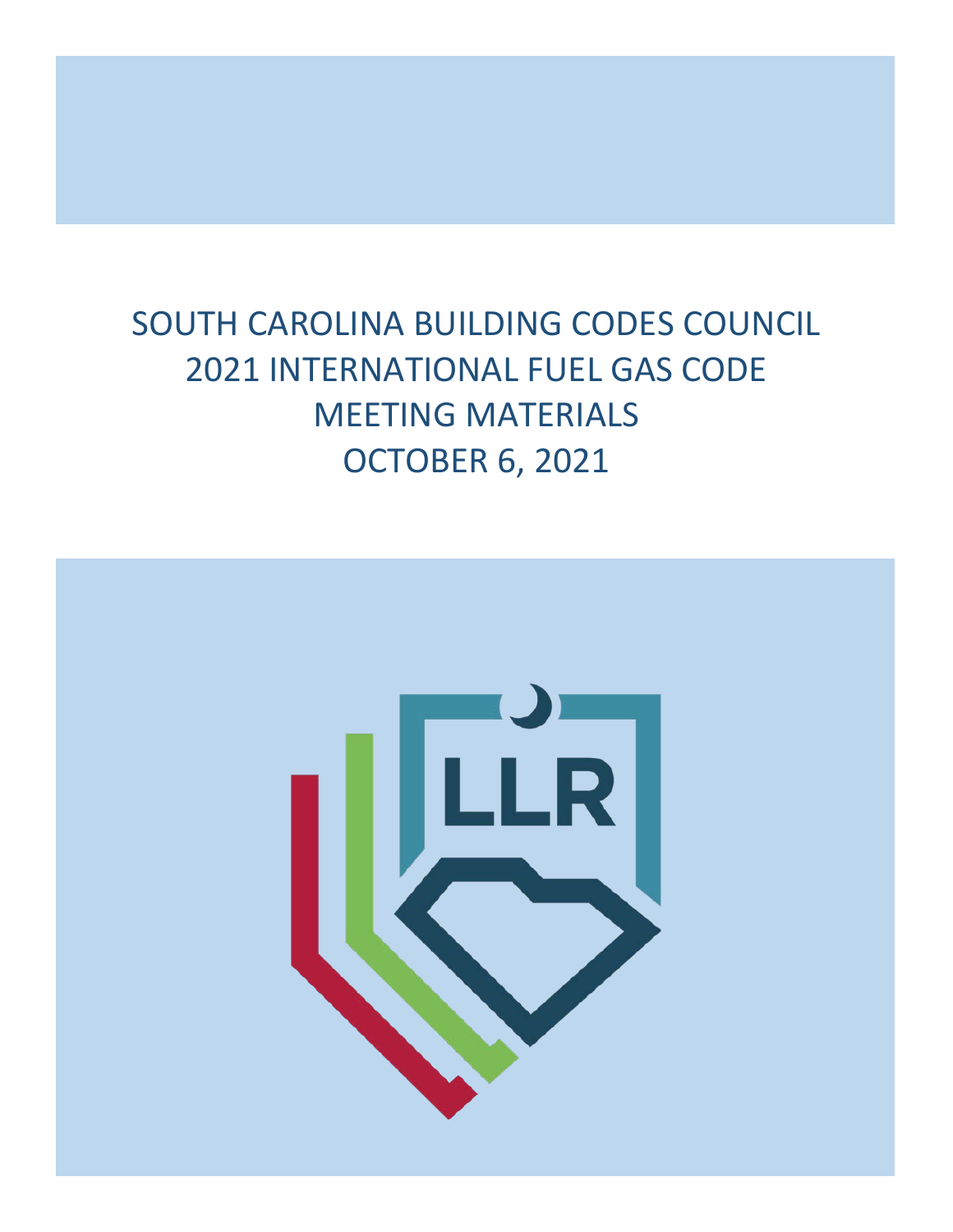# SOUTH CAROLINA BUILDING CODES COUNCIL 2021 INTERNATIONAL FUEL GAS CODE MEETING MATERIALS OCTOBER 6, 2021

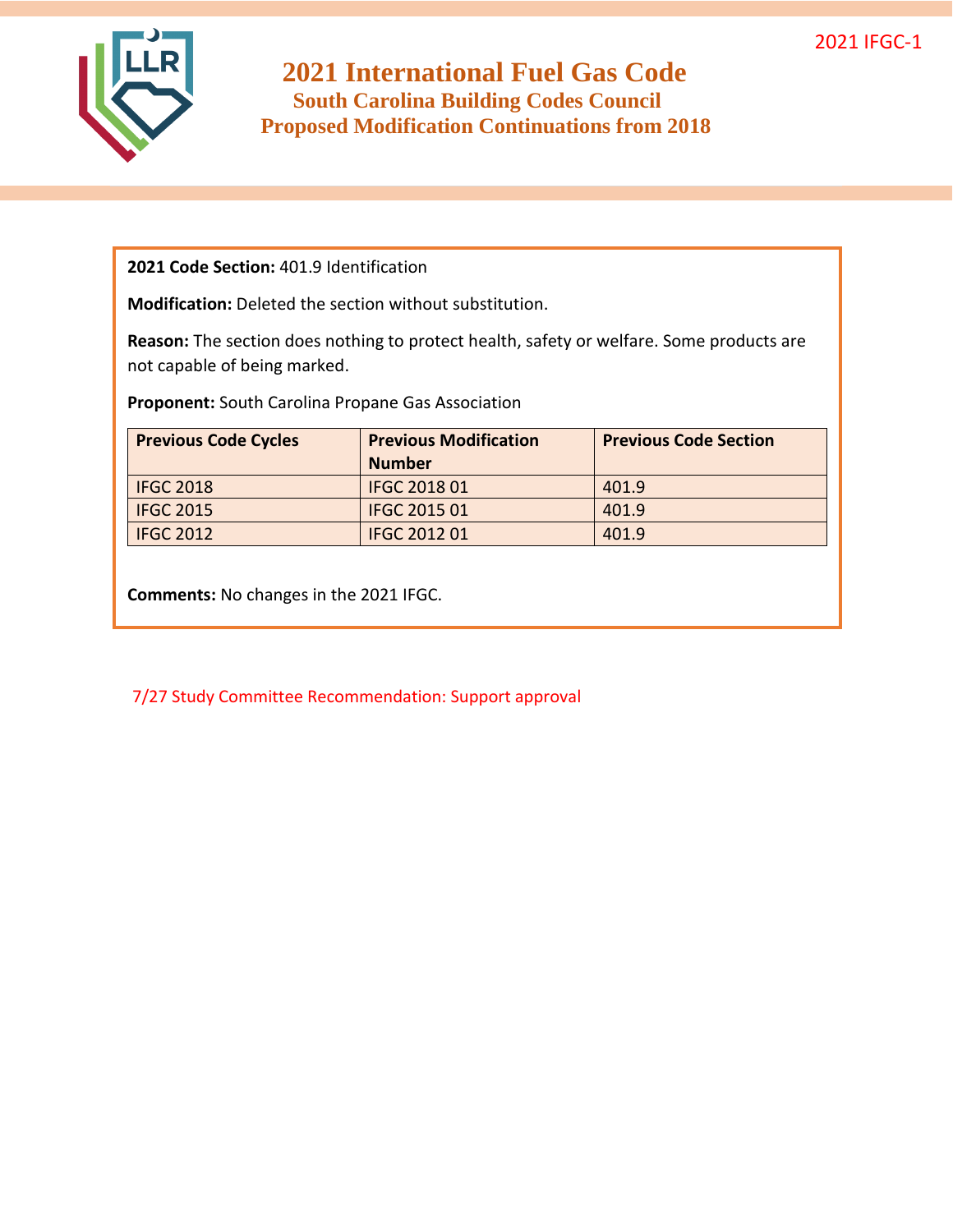

**2021 Code Section:** 401.9 Identification

**Modification:** Deleted the section without substitution.

**Reason:** The section does nothing to protect health, safety or welfare. Some products are not capable of being marked.

**Proponent:** South Carolina Propane Gas Association

| <b>Previous Code Cycles</b> | <b>Previous Modification</b> | <b>Previous Code Section</b> |
|-----------------------------|------------------------------|------------------------------|
|                             | <b>Number</b>                |                              |
| <b>IFGC 2018</b>            | <b>IFGC 2018 01</b>          | 401.9                        |
| <b>IFGC 2015</b>            | <b>IFGC 2015 01</b>          | 401.9                        |
| <b>IFGC 2012</b>            | <b>IFGC 2012 01</b>          | 401.9                        |

**Comments:** No changes in the 2021 IFGC.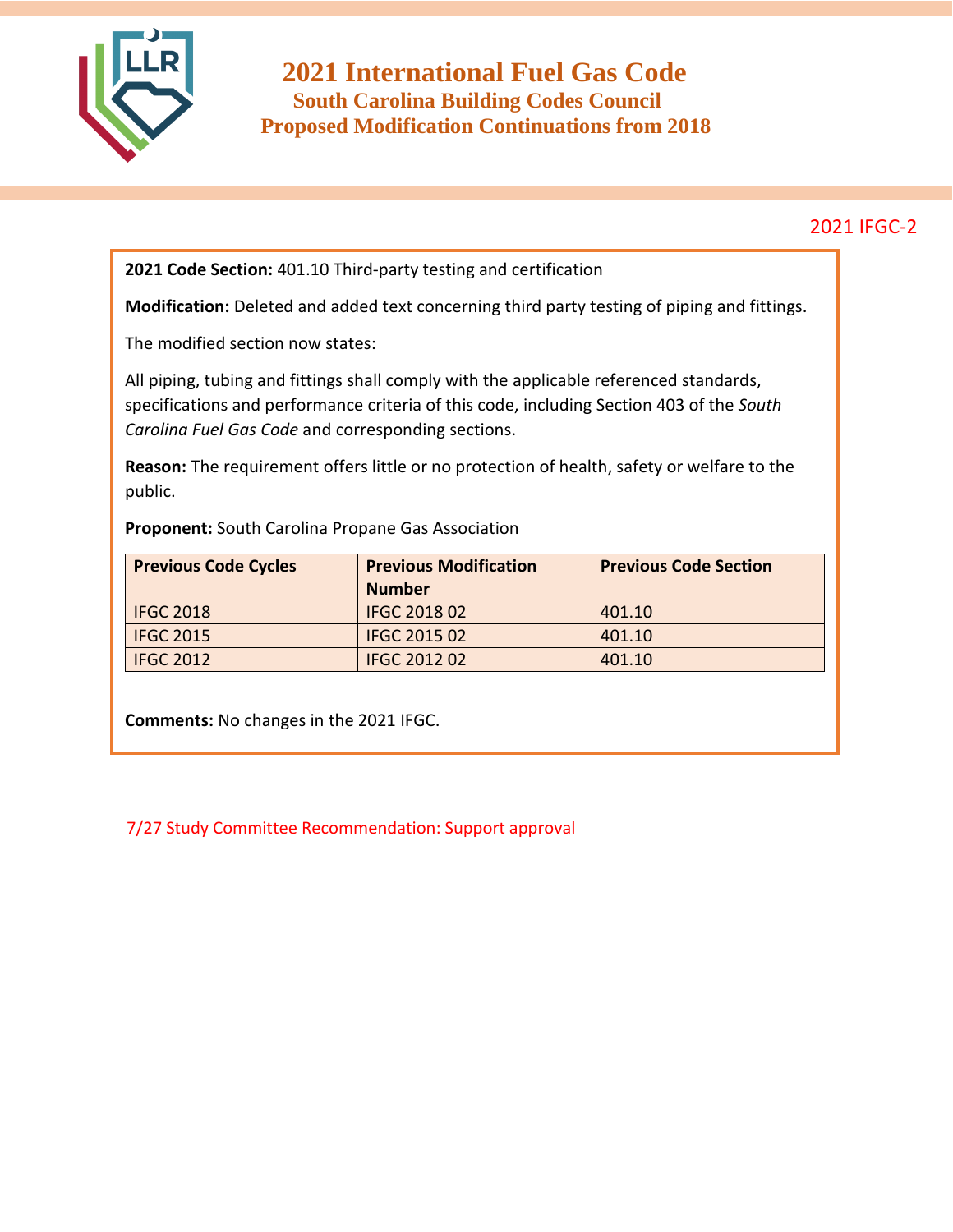

**2021 Code Section:** 401.10 Third-party testing and certification

**Modification:** Deleted and added text concerning third party testing of piping and fittings.

The modified section now states:

All piping, tubing and fittings shall comply with the applicable referenced standards, specifications and performance criteria of this code, including Section 403 of the *South Carolina Fuel Gas Code* and corresponding sections.

**Reason:** The requirement offers little or no protection of health, safety or welfare to the public.

**Proponent:** South Carolina Propane Gas Association

| <b>Previous Code Cycles</b> | <b>Previous Modification</b> | <b>Previous Code Section</b> |
|-----------------------------|------------------------------|------------------------------|
|                             | <b>Number</b>                |                              |
| <b>IFGC 2018</b>            | <b>IFGC 2018 02</b>          | 401.10                       |
| <b>IFGC 2015</b>            | <b>IFGC 2015 02</b>          | 401.10                       |
| <b>IFGC 2012</b>            | <b>IFGC 2012 02</b>          | 401.10                       |

**Comments:** No changes in the 2021 IFGC.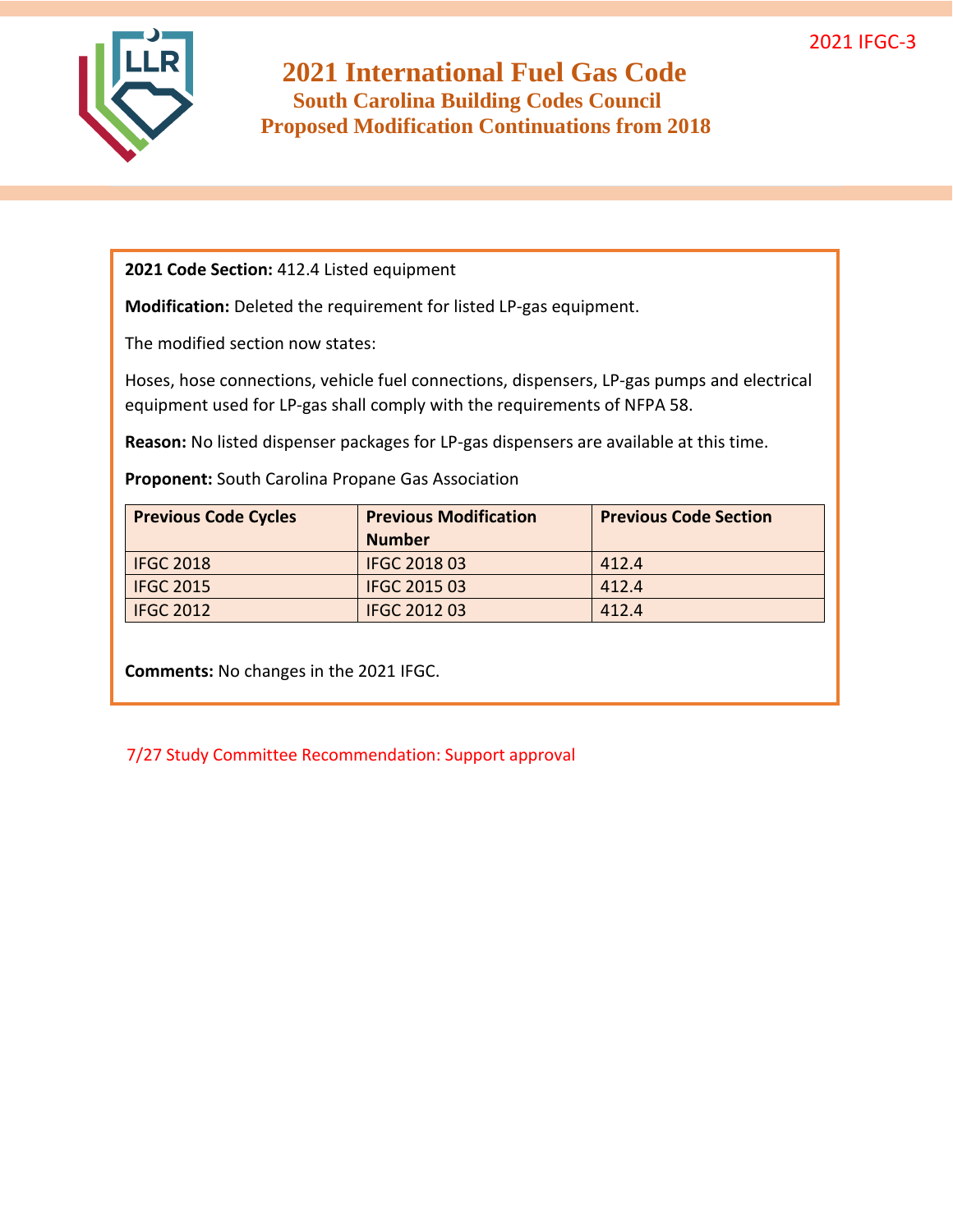

**2021 Code Section:** 412.4 Listed equipment

**Modification:** Deleted the requirement for listed LP-gas equipment.

The modified section now states:

Hoses, hose connections, vehicle fuel connections, dispensers, LP-gas pumps and electrical equipment used for LP-gas shall comply with the requirements of NFPA 58.

**Reason:** No listed dispenser packages for LP-gas dispensers are available at this time.

**Proponent:** South Carolina Propane Gas Association

| <b>Previous Code Cycles</b> | <b>Previous Modification</b> | <b>Previous Code Section</b> |
|-----------------------------|------------------------------|------------------------------|
|                             | <b>Number</b>                |                              |
| <b>IFGC 2018</b>            | <b>IFGC 2018 03</b>          | 412.4                        |
| <b>IFGC 2015</b>            | <b>IFGC 2015 03</b>          | 412.4                        |
| <b>IFGC 2012</b>            | <b>IFGC 2012 03</b>          | 412.4                        |

**Comments:** No changes in the 2021 IFGC.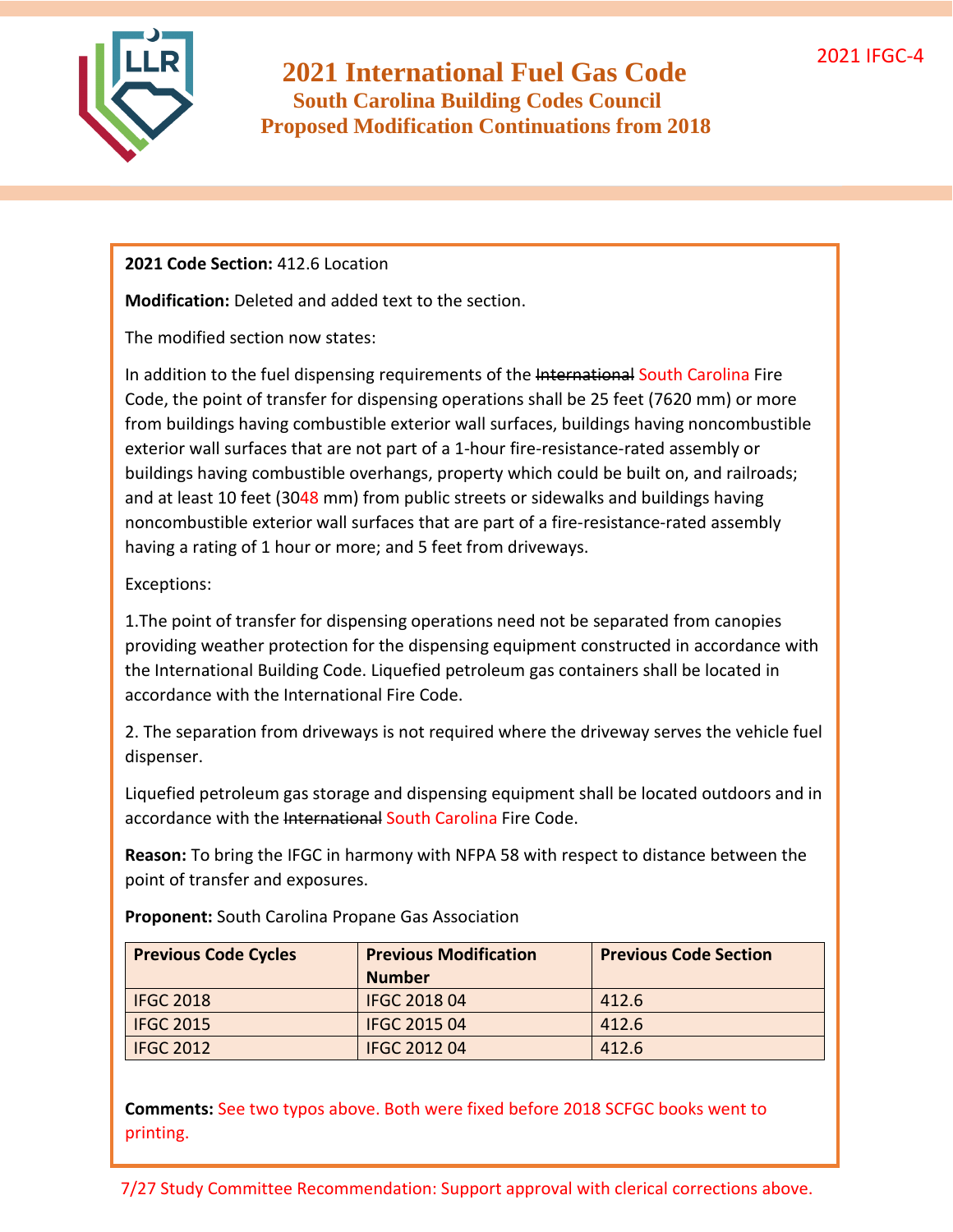

#### **2021 Code Section:** 412.6 Location

**Modification:** Deleted and added text to the section.

The modified section now states:

In addition to the fuel dispensing requirements of the International South Carolina Fire Code, the point of transfer for dispensing operations shall be 25 feet (7620 mm) or more from buildings having combustible exterior wall surfaces, buildings having noncombustible exterior wall surfaces that are not part of a 1-hour fire-resistance-rated assembly or buildings having combustible overhangs, property which could be built on, and railroads; and at least 10 feet (3048 mm) from public streets or sidewalks and buildings having noncombustible exterior wall surfaces that are part of a fire-resistance-rated assembly having a rating of 1 hour or more; and 5 feet from driveways.

#### Exceptions:

1.The point of transfer for dispensing operations need not be separated from canopies providing weather protection for the dispensing equipment constructed in accordance with the International Building Code. Liquefied petroleum gas containers shall be located in accordance with the International Fire Code.

2. The separation from driveways is not required where the driveway serves the vehicle fuel dispenser.

Liquefied petroleum gas storage and dispensing equipment shall be located outdoors and in accordance with the International South Carolina Fire Code.

**Reason:** To bring the IFGC in harmony with NFPA 58 with respect to distance between the point of transfer and exposures.

| <b>Previous Code Cycles</b> | <b>Previous Modification</b> | <b>Previous Code Section</b> |
|-----------------------------|------------------------------|------------------------------|
|                             | <b>Number</b>                |                              |
| <b>IFGC 2018</b>            | <b>IFGC 2018 04</b>          | 412.6                        |
| <b>IFGC 2015</b>            | <b>IFGC 2015 04</b>          | 412.6                        |
| <b>IFGC 2012</b>            | <b>IFGC 2012 04</b>          | 412.6                        |

**Proponent:** South Carolina Propane Gas Association

**Comments:** See two typos above. Both were fixed before 2018 SCFGC books went to printing.

7/27 Study Committee Recommendation: Support approval with clerical corrections above.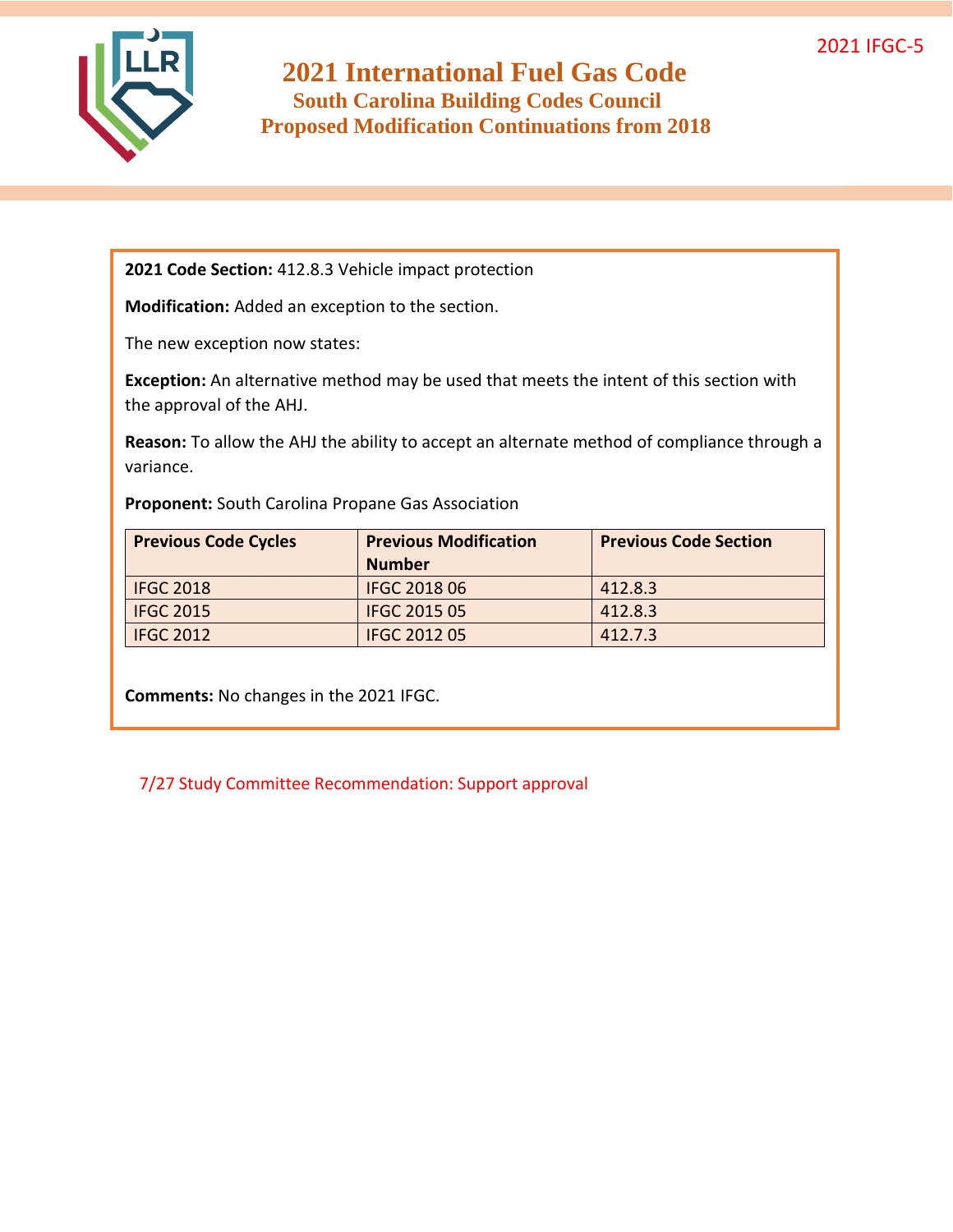

**2021 Code Section:** 412.8.3 Vehicle impact protection

**Modification:** Added an exception to the section.

The new exception now states:

**Exception:** An alternative method may be used that meets the intent of this section with the approval of the AHJ.

**Reason:** To allow the AHJ the ability to accept an alternate method of compliance through a variance.

**Proponent:** South Carolina Propane Gas Association

| <b>Previous Code Cycles</b> | <b>Previous Modification</b> | <b>Previous Code Section</b> |
|-----------------------------|------------------------------|------------------------------|
|                             | <b>Number</b>                |                              |
| <b>IFGC 2018</b>            | <b>IFGC 2018 06</b>          | 412.8.3                      |
| <b>IFGC 2015</b>            | IFGC 2015 05                 | 412.8.3                      |
| <b>IFGC 2012</b>            | <b>IFGC 2012 05</b>          | 412.7.3                      |

**Comments:** No changes in the 2021 IFGC.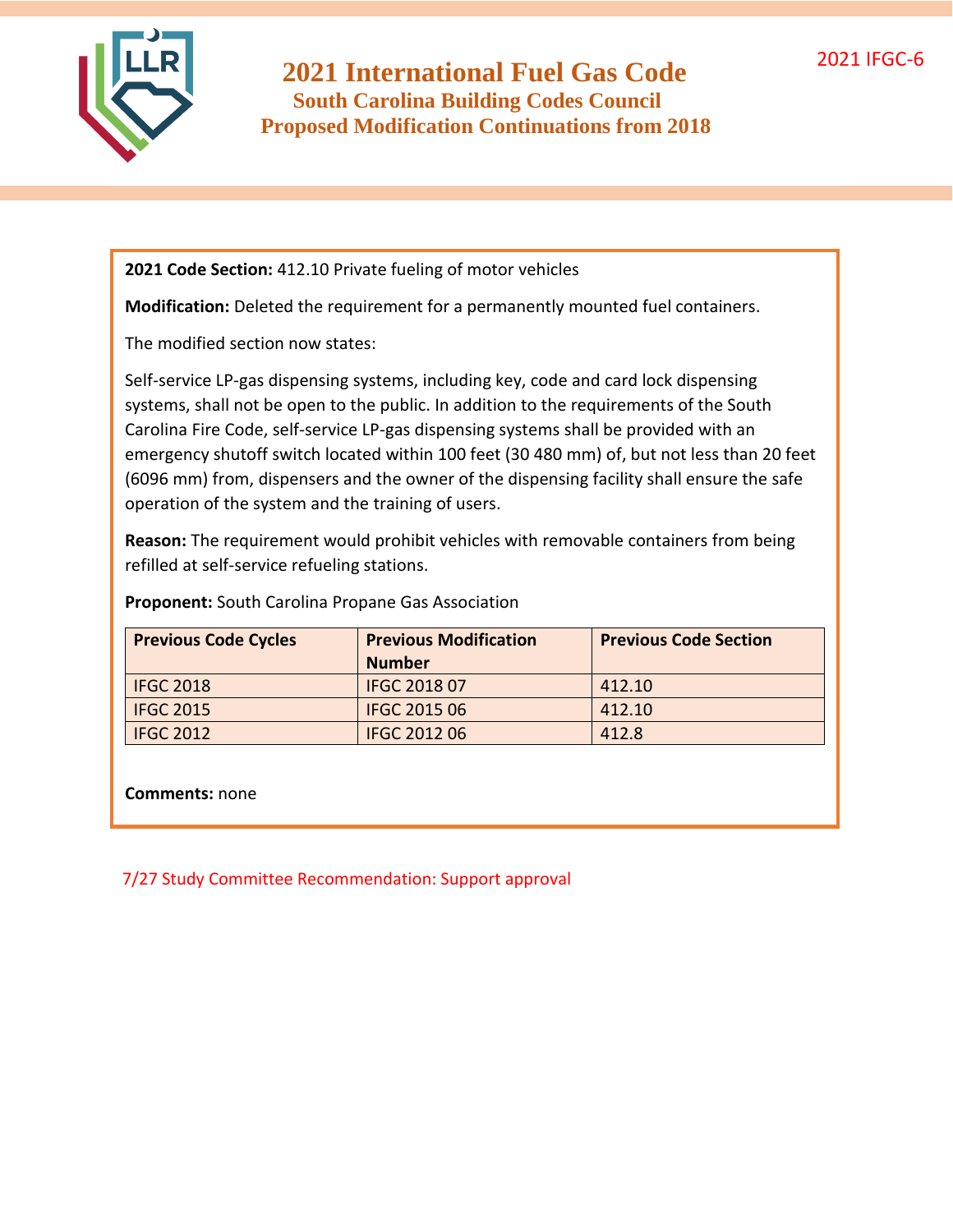

**2021 Code Section:** 412.10 Private fueling of motor vehicles

**Modification:** Deleted the requirement for a permanently mounted fuel containers.

The modified section now states:

Self-service LP-gas dispensing systems, including key, code and card lock dispensing systems, shall not be open to the public. In addition to the requirements of the South Carolina Fire Code, self-service LP-gas dispensing systems shall be provided with an emergency shutoff switch located within 100 feet (30 480 mm) of, but not less than 20 feet (6096 mm) from, dispensers and the owner of the dispensing facility shall ensure the safe operation of the system and the training of users.

**Reason:** The requirement would prohibit vehicles with removable containers from being refilled at self-service refueling stations.

| <b>Previous Code Cycles</b> | <b>Previous Modification</b> | <b>Previous Code Section</b> |
|-----------------------------|------------------------------|------------------------------|
|                             | <b>Number</b>                |                              |
| <b>IFGC 2018</b>            | <b>IFGC 2018 07</b>          | 412.10                       |
| <b>IFGC 2015</b>            | <b>IFGC 2015 06</b>          | 412.10                       |
| <b>IFGC 2012</b>            | <b>IFGC 2012 06</b>          | 412.8                        |

**Proponent:** South Carolina Propane Gas Association

**Comments:** none